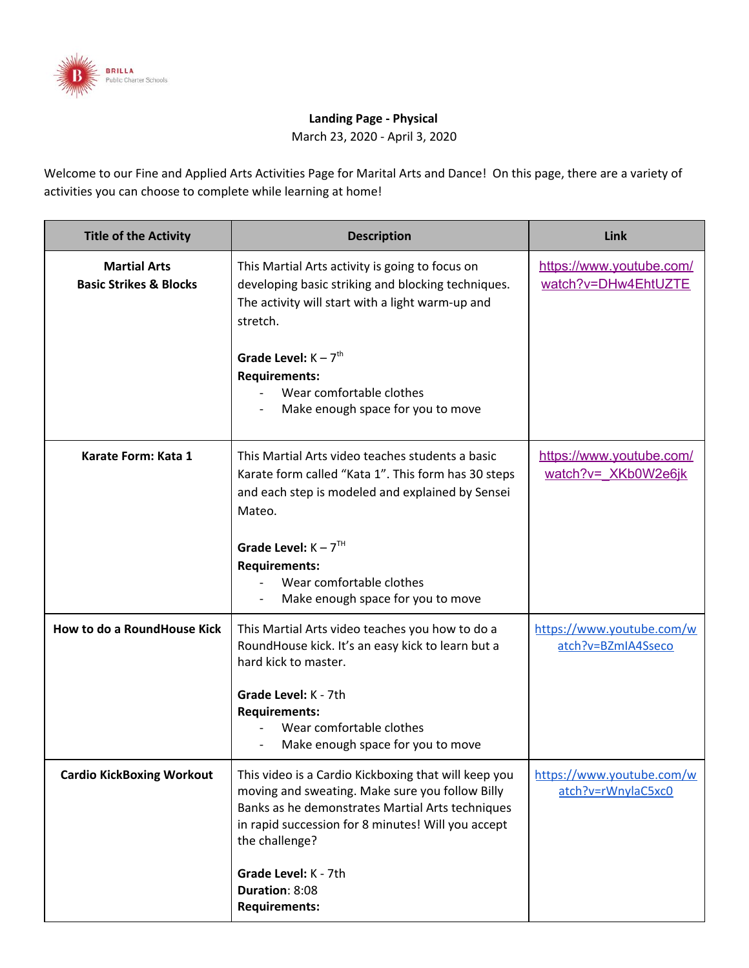

## **Landing Page - Physical**

March 23, 2020 - April 3, 2020

Welcome to our Fine and Applied Arts Activities Page for Marital Arts and Dance! On this page, there are a variety of activities you can choose to complete while learning at home!

| <b>Title of the Activity</b>                             | <b>Description</b>                                                                                                                                                                                                                                                                                    | Link                                            |
|----------------------------------------------------------|-------------------------------------------------------------------------------------------------------------------------------------------------------------------------------------------------------------------------------------------------------------------------------------------------------|-------------------------------------------------|
| <b>Martial Arts</b><br><b>Basic Strikes &amp; Blocks</b> | This Martial Arts activity is going to focus on<br>developing basic striking and blocking techniques.<br>The activity will start with a light warm-up and<br>stretch.<br>Grade Level: $K - 7th$<br><b>Requirements:</b><br>Wear comfortable clothes<br>Make enough space for you to move              | https://www.youtube.com/<br>watch?v=DHw4EhtUZTE |
| Karate Form: Kata 1                                      | This Martial Arts video teaches students a basic<br>Karate form called "Kata 1". This form has 30 steps<br>and each step is modeled and explained by Sensei<br>Mateo.<br>Grade Level: $K - 7TH$<br><b>Requirements:</b><br>Wear comfortable clothes<br>Make enough space for you to move              | https://www.youtube.com/<br>watch?v= XKb0W2e6jk |
| How to do a RoundHouse Kick                              | This Martial Arts video teaches you how to do a<br>RoundHouse kick. It's an easy kick to learn but a<br>hard kick to master.<br>Grade Level: K - 7th<br><b>Requirements:</b><br>Wear comfortable clothes<br>Make enough space for you to move                                                         | https://www.youtube.com/w<br>atch?v=BZmIA4Sseco |
| <b>Cardio KickBoxing Workout</b>                         | This video is a Cardio Kickboxing that will keep you<br>moving and sweating. Make sure you follow Billy<br>Banks as he demonstrates Martial Arts techniques<br>in rapid succession for 8 minutes! Will you accept<br>the challenge?<br>Grade Level: K - 7th<br>Duration: 8:08<br><b>Requirements:</b> | https://www.youtube.com/w<br>atch?v=rWnylaC5xc0 |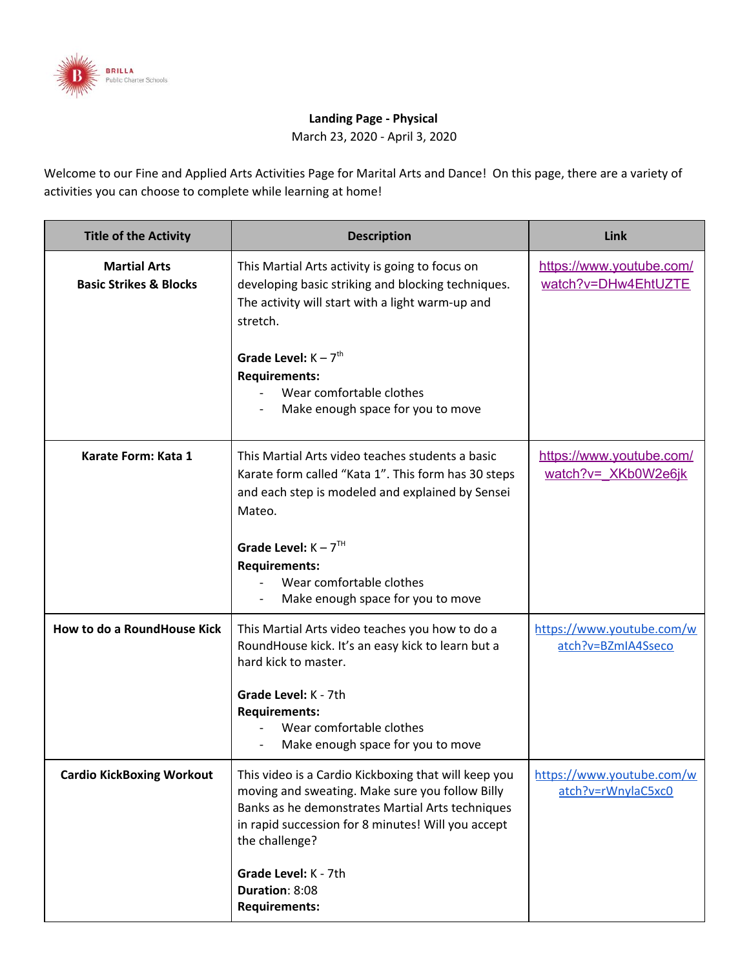

|                                                     | Wear comfortable clothes<br>Make enough space for you to move                                                                                                                                              |                                                     |
|-----------------------------------------------------|------------------------------------------------------------------------------------------------------------------------------------------------------------------------------------------------------------|-----------------------------------------------------|
| <b>Human Alphabet Game</b><br><b>Creative Dance</b> | Can you make letters with your whole body?<br>Let's see if you can make it to the letter Z!<br>Click the link to the secondary page for more<br>directions to complete this activity.                      | <b>Human Alphabet Game</b><br><b>Secondary Page</b> |
|                                                     | Grade Level: $K - 7TH$                                                                                                                                                                                     |                                                     |
| <b>Fortnite Dance Workout</b><br>Dance Workout      | It's time to strengthen our muscles. Do you have<br>what it takes to do the Fortnite Dance Workout?<br>Play the video and follow along! Parents you can                                                    | <b>Fortnite Dance Workout</b><br>Video              |
|                                                     | join too!<br>Grade Level: $K - 7TH$<br>Duration: 4:59<br><b>Requirements:</b><br>Wear comfortable clothes.<br>Make enough space for you to move.<br>Drink plenty of water during and after the<br>workout. |                                                     |

| $\mathsf{p}$ i a d $\mathsf{p}'$ GdY<br><b>Creative Dance</b> | Let's practice jumping. GdY" the word "Mom"<br>out loud and 1 a d every time you say a letter.<br>Try to jump and spell a different word.<br>Click the link to the secondary page for more<br>directions to complete this activity. | Jump & Spell<br><b>Secondary Page</b><br>M    |
|---------------------------------------------------------------|-------------------------------------------------------------------------------------------------------------------------------------------------------------------------------------------------------------------------------------|-----------------------------------------------|
|                                                               | Grade Level: $K - 7TH$                                                                                                                                                                                                              |                                               |
| <b>Ba</b> U; i a a m6 YUF8 UbWY<br>Dance Workout              | It's time for the Gummy Bear Dance! Follow<br>along with the video and let's see if you are a<br>gummy bear!                                                                                                                        | Just Dance: I am a<br><b>Gummy Bear Video</b> |
|                                                               | Grade Level: $K - 7TH$<br>Duration: 2:30<br><b>Requirements:</b><br>Wear comfortable clothes.<br>Make enough space for you to move.<br>Drink plenty of water during and after the                                                   |                                               |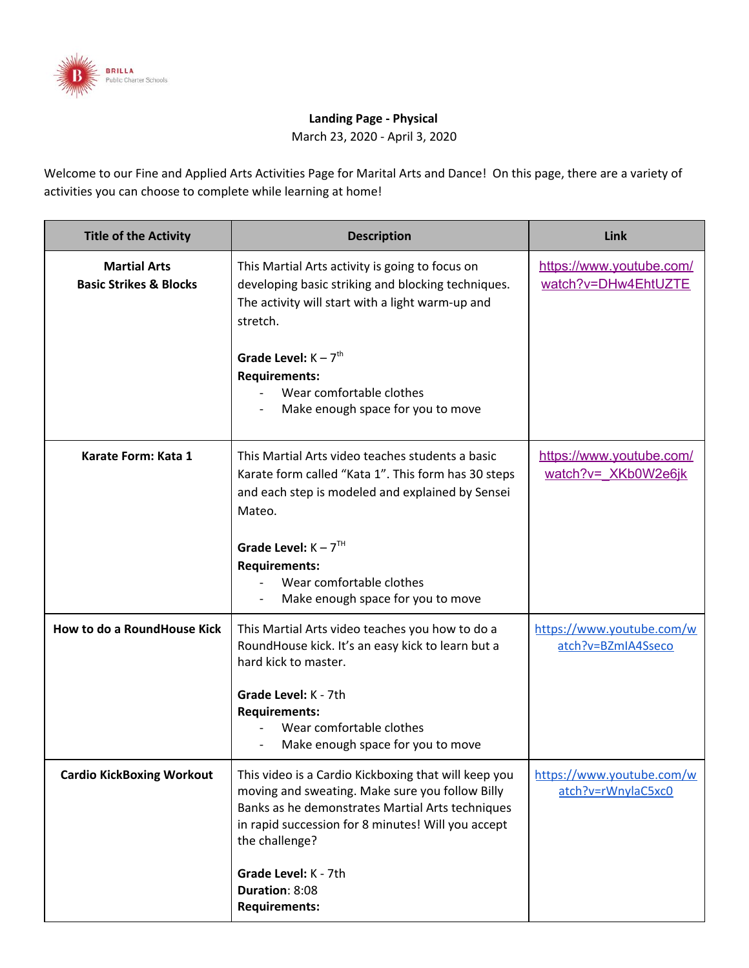

|                                               | workout.                                                                                                                                                                                                                                                                                                                                                                                                                                                                                      |                                                                      |
|-----------------------------------------------|-----------------------------------------------------------------------------------------------------------------------------------------------------------------------------------------------------------------------------------------------------------------------------------------------------------------------------------------------------------------------------------------------------------------------------------------------------------------------------------------------|----------------------------------------------------------------------|
| A]ffcf; Ua Y<br>Creative movement             | Have you ever played Simon Says?<br>Well, this is similar to that! But there's no<br>talking, so you have to pay extra attention!<br>Grade Level: Any<br>Click the link to the secondary page for the<br>directions to complete this activity.                                                                                                                                                                                                                                                | <b>Mirror Game directions:</b><br><b>Secondary page</b>              |
| ?]Xn6cd8UbWYUcb[ °<br>Dance workout           | Have you been sitting all day and want to get<br>up and dance!? Here's all your favorite songs<br>mashed together into one video with some<br>awesome dance moves!<br><b>CHALLENGE!:</b><br>Take a video of you and a parent/ brother/ sister<br>doing your favorite dance from the video! Send it<br>to Ms. Starace at 347-996-9053<br>Grade Level: Any<br><b>Duration: 34 minutes</b><br><b>Requirements:</b><br>Wear comfortable clothes<br>Have fun!<br>Make enough space for you to move | <b>KIDZ BOP dance along!</b>                                         |
| : Ua ]`m̈7 UfX]c K cf_ci ĥ<br>Cardio exercise | It's time for some exercise!<br>Just because your home doesn't mean you<br>can't get some cardio in!<br>Here's a 10 minute video to get your heart rate<br>going with everyone at home!<br>Grade Level: Any<br><b>Requirements:</b><br>Wear comfortable clothes<br>Have fun!<br>Make enough space for you to move<br>$LZk b X/j$ , aM{tuZn_innxtn  $x$ n  b<br>$\overline{\phantom{a}}$<br>$tn$ $\rightarrow$ Z', ZMb `ynV yUWZ_nn{nxy ZMIZxyE                                                | <b>Family Fun Cardio</b><br><b>Workout</b>                           |
| GdcHjb[<br>Dance Technique                    | Hey dancers let's work on our turns but first<br>let's practice spotting!<br>The video will give you some tips one spotting<br>so you won't get dizzy while turning.<br>Grade Level:K-7<br><b>Requirements</b>                                                                                                                                                                                                                                                                                | https://www.youtube.com/<br>watch?v=RDF1NggVIv8&f<br>eature=youtu.be |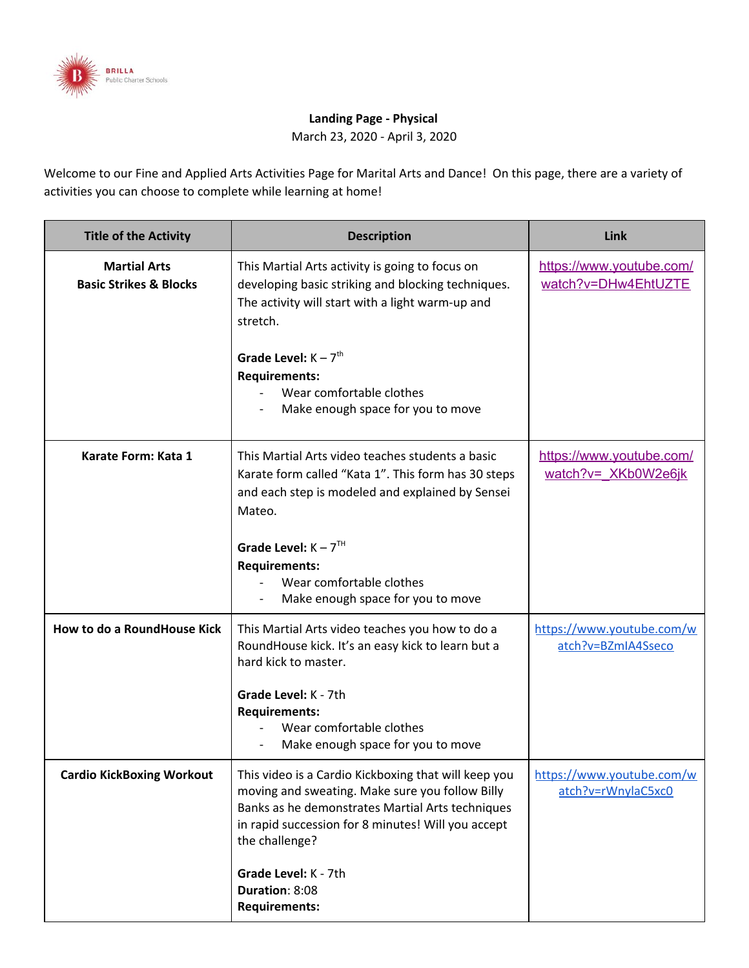

|  | Wear comfortable clothes<br>Have fun!<br>Make enough space for you to move<br><i>ŁZk bl</i> X <i>_ j " aM[{tuZ n__jnnx tn  →Z nl b</i><br>$\frac{1}{2}$ tn  $\frac{1}{2}$ $\frac{1}{2}$ $\frac{1}{2}$ $\frac{1}{2}$ $\frac{1}{2}$ $\frac{1}{2}$ $\frac{1}{2}$ $\frac{1}{2}$ $\frac{1}{2}$ $\frac{1}{2}$ $\frac{1}{2}$ $\frac{1}{2}$ $\frac{1}{2}$ $\frac{1}{2}$ $\frac{1}{2}$ $\frac{1}{2}$ $\frac{1}{2}$ $\frac{1}{2}$ $\frac{1}{2}$ $\frac{1}{2}$ $\frac{1}{2$ |  |
|--|------------------------------------------------------------------------------------------------------------------------------------------------------------------------------------------------------------------------------------------------------------------------------------------------------------------------------------------------------------------------------------------------------------------------------------------------------------------|--|
|--|------------------------------------------------------------------------------------------------------------------------------------------------------------------------------------------------------------------------------------------------------------------------------------------------------------------------------------------------------------------------------------------------------------------------------------------------------------------|--|

| 7\ UJbYg Hi fbg<br>Dance Technique | Chaines turn the basic turn where you add can<br>also work on spotting.                                                                                                                                                                                                                           | https://youtu.be/UKeXDm<br>VFz18                |
|------------------------------------|---------------------------------------------------------------------------------------------------------------------------------------------------------------------------------------------------------------------------------------------------------------------------------------------------|-------------------------------------------------|
|                                    | Grade Level: K-7<br><b>Requirements</b><br>Wear comfortable clothes<br>Have fun!<br>Make enough space for you to move<br>$LZk bX/j$ , aM{tuZn_jnnxtn  $\neg Z$ nl b<br>$tn$ $\rightarrow$ $Z$ , $Z$ $N$ $db$ $\rightarrow$ $yn$ $M$ $y$ $L$ $N$ $Z$ $m$ $Y$ $M$ $Z$ $N$ $R$ $Z$ $N$ $R$ $T$       |                                                 |
| $H^{\text{}}_{\text{}}$ Hc $^{-}$  | Something new challenge<br>Learn the simple dance by watching the video.<br>Create a video of you and your family doing the<br>dance! I can't wait to see your post!                                                                                                                              | https://www.youtube.com/<br>watch?v=pBJeVpfr4W0 |
|                                    | Grade Level:K-7<br><b>Requirements</b><br>Wear comfortable clothes<br>Have fun!<br>Make enough space for you to move<br>$LZk b X/j$ , aM{tuZn_jnnxtn  $xZn l b$<br>$tn$ $\rightarrow$ $Z$ , $Z$ $\land$ $db$ $\land$ $y$ $y$ $\land$ $MZ$ $nn$ $nx$ $y$ $Z$ $\land$ $dZ$ $x$ $y$ $E$<br>Mr. Cecil |                                                 |
| Acfb]b[ 'GIfYHWYg'                 | First Thing To Do When You Wake Up!<br>Follow along to these basic self-space<br>workouts in your home to give you the energy                                                                                                                                                                     | https://www.youtube.com/<br>watch?v=ALrdpsWYoJs |
| Mci; ch $H$ $\lg$                  | you need to start your day!                                                                                                                                                                                                                                                                       |                                                 |
| !Af"FYUXcb'                        | Grade level: K-7th<br><b>Requirements</b><br>-Sweatpants, shorts, any workout clothes<br>-Waterbottle<br>-A workout partner (if you can)<br>-Be mindful what type of floor you're on if<br>you're wearing socks/barefoot or sneakers                                                              |                                                 |